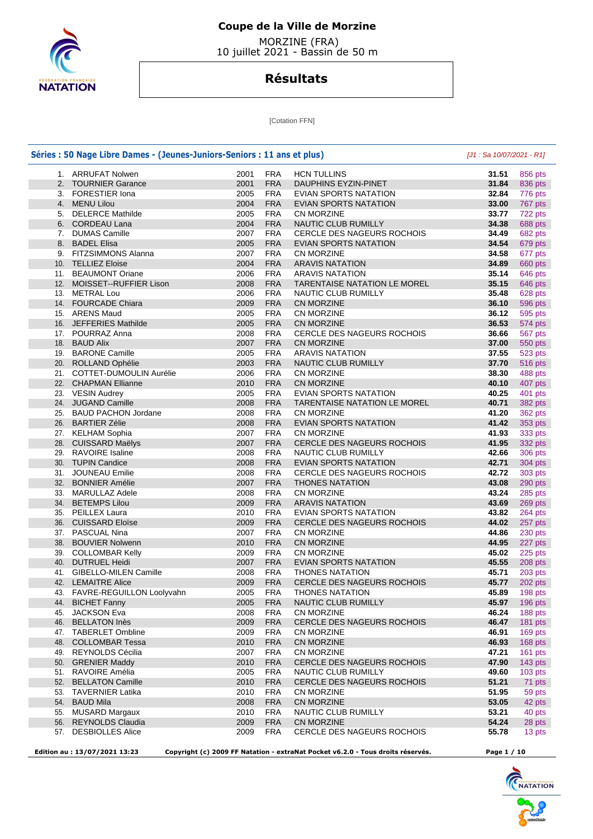

 MORZINE (FRA) 10 juillet 2021 - Bassin de 50 m

# **Résultats**

[Cotation FFN]

| Séries : 50 Nage Libre Dames - (Jeunes-Juniors-Seniors : 11 ans et plus) |      |            |                                   |       |           |
|--------------------------------------------------------------------------|------|------------|-----------------------------------|-------|-----------|
| 1. ARRUFAT Nolwen                                                        | 2001 | <b>FRA</b> | <b>HCN TULLINS</b>                | 31.51 | 856 pts   |
| 2. TOURNIER Garance                                                      | 2001 | <b>FRA</b> | DAUPHINS EYZIN-PINET              | 31.84 | 836 pts   |
| 3. FORESTIER Iona                                                        | 2005 | <b>FRA</b> | EVIAN SPORTS NATATION             | 32.84 | 776 pts   |
| 4. MENU Lilou                                                            | 2004 | <b>FRA</b> | <b>EVIAN SPORTS NATATION</b>      | 33.00 | 767 pts   |
| 5. DELERCE Mathilde                                                      | 2005 | <b>FRA</b> | CN MORZINE                        | 33.77 | 722 pts   |
| 6. CORDEAU Lana                                                          | 2004 | <b>FRA</b> | NAUTIC CLUB RUMILLY               | 34.38 | 688 pts   |
| 7. DUMAS Camille                                                         | 2007 | <b>FRA</b> | CERCLE DES NAGEURS ROCHOIS        | 34.49 | 682 pts   |
| 8. BADEL Elisa                                                           | 2005 | <b>FRA</b> | EVIAN SPORTS NATATION             | 34.54 | 679 pts   |
| 9. FITZSIMMONS Alanna                                                    | 2007 | <b>FRA</b> | CN MORZINE                        | 34.58 | 677 pts   |
| 10. TELLIEZ Eloise                                                       | 2004 | <b>FRA</b> | <b>ARAVIS NATATION</b>            | 34.89 | 660 pts   |
| 11. BEAUMONT Oriane                                                      | 2006 | <b>FRA</b> | <b>ARAVIS NATATION</b>            | 35.14 | 646 pts   |
| 12. MOISSET--RUFFIER Lison                                               | 2008 | <b>FRA</b> | TARENTAISE NATATION LE MOREL      | 35.15 | 646 pts   |
| 13. METRAL Lou                                                           | 2006 | <b>FRA</b> | NAUTIC CLUB RUMILLY               | 35.48 | 628 pts   |
| 14. FOURCADE Chiara                                                      | 2009 | <b>FRA</b> | <b>CN MORZINE</b>                 | 36.10 | 596 pts   |
| 15. ARENS Maud                                                           | 2005 | <b>FRA</b> | CN MORZINE                        | 36.12 |           |
| 16. JEFFERIES Mathilde                                                   | 2005 | <b>FRA</b> |                                   | 36.53 | 595 pts   |
|                                                                          | 2008 |            | <b>CN MORZINE</b>                 |       | 574 pts   |
| 17. POURRAZ Anna                                                         |      | <b>FRA</b> | CERCLE DES NAGEURS ROCHOIS        | 36.66 | 567 pts   |
| 18. BAUD Alix                                                            | 2007 | <b>FRA</b> | <b>CN MORZINE</b>                 | 37.00 | 550 pts   |
| 19. BARONE Camille                                                       | 2005 | <b>FRA</b> | <b>ARAVIS NATATION</b>            | 37.55 | 523 pts   |
| 20. ROLLAND Ophélie                                                      | 2003 | <b>FRA</b> | NAUTIC CLUB RUMILLY               | 37.70 | 516 pts   |
| 21. COTTET-DUMOULIN Aurélie                                              | 2006 | <b>FRA</b> | CN MORZINE                        | 38.30 | 488 pts   |
| 22. CHAPMAN Ellianne                                                     | 2010 | <b>FRA</b> | <b>CN MORZINE</b>                 | 40.10 | 407 pts   |
| 23. VESIN Audrey                                                         | 2005 | <b>FRA</b> | EVIAN SPORTS NATATION             | 40.25 | 401 pts   |
| 24. JUGAND Camille                                                       | 2008 | <b>FRA</b> | TARENTAISE NATATION LE MOREL      | 40.71 | 382 pts   |
| 25. BAUD PACHON Jordane                                                  | 2008 | <b>FRA</b> | CN MORZINE                        | 41.20 | 362 pts   |
| 26. BARTIER Zélie                                                        | 2008 | <b>FRA</b> | EVIAN SPORTS NATATION             | 41.42 | 353 pts   |
| 27. KELHAM Sophia                                                        | 2007 | <b>FRA</b> | CN MORZINE                        | 41.93 | 333 pts   |
| 28. CUISSARD Maëlys                                                      | 2007 | <b>FRA</b> | CERCLE DES NAGEURS ROCHOIS        | 41.95 | 332 pts   |
| 29. RAVOIRE Isaline                                                      | 2008 | <b>FRA</b> | NAUTIC CLUB RUMILLY               | 42.66 | 306 pts   |
| 30. TUPIN Candice                                                        | 2008 | <b>FRA</b> | EVIAN SPORTS NATATION             | 42.71 | 304 pts   |
| 31. JOUNEAU Emilie                                                       | 2008 | <b>FRA</b> | <b>CERCLE DES NAGEURS ROCHOIS</b> | 42.72 | 303 pts   |
| 32. BONNIER Amélie                                                       | 2007 | <b>FRA</b> | <b>THONES NATATION</b>            | 43.08 | 290 pts   |
| 33. MARULLAZ Adele                                                       | 2008 | <b>FRA</b> | CN MORZINE                        | 43.24 | 285 pts   |
| 34. BETEMPS Lilou                                                        | 2009 | <b>FRA</b> | <b>ARAVIS NATATION</b>            | 43.69 | 269 pts   |
| 35. PEILLEX Laura                                                        | 2010 | <b>FRA</b> | EVIAN SPORTS NATATION             | 43.82 | 264 pts   |
| 36. CUISSARD Eloïse                                                      | 2009 | <b>FRA</b> | <b>CERCLE DES NAGEURS ROCHOIS</b> | 44.02 | 257 pts   |
| 37. PASCUAL Nina                                                         | 2007 | <b>FRA</b> | CN MORZINE                        | 44.86 | 230 pts   |
| 38. BOUVIER Nolwenn                                                      | 2010 | <b>FRA</b> | CN MORZINE                        | 44.95 | 227 pts   |
| 39. COLLOMBAR Kelly                                                      | 2009 | <b>FRA</b> | CN MORZINE                        | 45.02 | 225 pts   |
| 40. DUTRUEL Heidi                                                        | 2007 | <b>FRA</b> | EVIAN SPORTS NATATION             | 45.55 | 208 pts   |
| 41. GIBELLO-MILEN Camille                                                | 2008 | <b>FRA</b> | <b>THONES NATATION</b>            | 45.71 | 203 pts   |
| 42. LEMAITRE Alice                                                       | 2009 | <b>FRA</b> | CERCLE DES NAGEURS ROCHOIS        | 45.77 | 202 pts   |
| 43. FAVRE-REGUILLON Loolyvahn                                            | 2005 | <b>FRA</b> | <b>THONES NATATION</b>            | 45.89 | 198 pts   |
| 44. BICHET Fanny                                                         | 2005 | <b>FRA</b> | NAUTIC CLUB RUMILLY               | 45.97 | 196 pts   |
| 45. JACKSON Eva                                                          | 2008 | <b>FRA</b> | CN MORZINE                        | 46.24 |           |
|                                                                          |      |            |                                   |       | 188 pts   |
| 46. BELLATON Inès                                                        | 2009 | <b>FRA</b> | <b>CERCLE DES NAGEURS ROCHOIS</b> | 46.47 | 181 pts   |
| 47. TABERLET Ombline                                                     | 2009 | <b>FRA</b> | CN MORZINE                        | 46.91 | 169 pts   |
| 48. COLLOMBAR Tessa                                                      | 2010 | <b>FRA</b> | CN MORZINE                        | 46.93 | 168 pts   |
| 49. REYNOLDS Cécilia                                                     | 2007 | <b>FRA</b> | CN MORZINE                        | 47.21 | $161$ pts |
| 50. GRENIER Maddy                                                        | 2010 | <b>FRA</b> | <b>CERCLE DES NAGEURS ROCHOIS</b> | 47.90 | 143 pts   |
| 51. RAVOIRE Amélia                                                       | 2005 | <b>FRA</b> | NAUTIC CLUB RUMILLY               | 49.60 | $103$ pts |
| 52. BELLATON Camille                                                     | 2010 | <b>FRA</b> | CERCLE DES NAGEURS ROCHOIS        | 51.21 |           |
| 53. TAVERNIER Latika                                                     | 2010 | FRA        | CN MORZINE                        | 51.95 |           |
| 54. BAUD Mila                                                            | 2008 | <b>FRA</b> | CN MORZINE                        | 53.05 |           |
| 55. MUSARD Margaux                                                       | 2010 | FRA        | NAUTIC CLUB RUMILLY               | 53.21 |           |
| 56. REYNOLDS Claudia                                                     | 2009 | <b>FRA</b> | <b>CN MORZINE</b>                 | 54.24 |           |
| 57. DESBIOLLES Alice                                                     | 2009 | <b>FRA</b> | CERCLE DES NAGEURS ROCHOIS        | 55.78 |           |

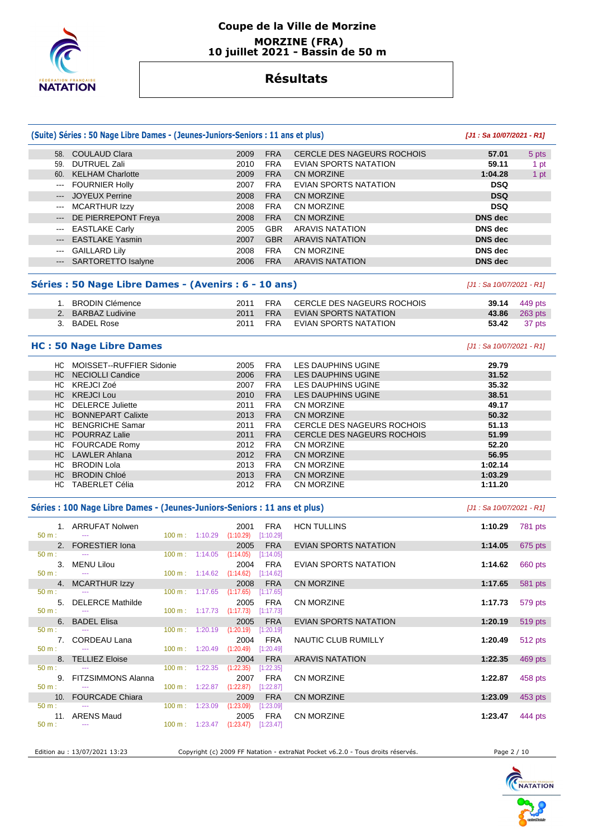

### **Coupe de la Ville de Morzine MORZINE (FRA) 10 juillet 2021 - Bassin de 50 m**

## **Résultats**

|                                        | (Suite) Séries : 50 Nage Libre Dames - (Jeunes-Juniors-Seniors : 11 ans et plus) |                                      |                                             |                         |                                   | [J1: Sa 10/07/2021 - R1]  |         |
|----------------------------------------|----------------------------------------------------------------------------------|--------------------------------------|---------------------------------------------|-------------------------|-----------------------------------|---------------------------|---------|
|                                        | 58. COULAUD Clara                                                                |                                      | 2009                                        | <b>FRA</b>              | <b>CERCLE DES NAGEURS ROCHOIS</b> | 57.01                     | 5 pts   |
| 59.                                    | <b>DUTRUEL Zali</b>                                                              |                                      | 2010                                        | <b>FRA</b>              | EVIAN SPORTS NATATION             | 59.11                     | 1 pt    |
|                                        | 60. KELHAM Charlotte                                                             |                                      | 2009                                        | <b>FRA</b>              | <b>CN MORZINE</b>                 | 1:04.28                   | 1 pt    |
| $\scriptstyle\cdots\scriptstyle\cdots$ | <b>FOURNIER Holly</b>                                                            |                                      | 2007                                        | <b>FRA</b>              | <b>EVIAN SPORTS NATATION</b>      | <b>DSQ</b>                |         |
| $\qquad \qquad - -$                    | <b>JOYEUX Perrine</b>                                                            |                                      | 2008                                        | <b>FRA</b>              | <b>CN MORZINE</b>                 | <b>DSQ</b>                |         |
| $\qquad \qquad \cdots$                 | <b>MCARTHUR Izzy</b>                                                             |                                      | 2008                                        | <b>FRA</b>              | <b>CN MORZINE</b>                 | <b>DSQ</b>                |         |
|                                        |                                                                                  |                                      |                                             |                         |                                   |                           |         |
| $---$                                  | DE PIERREPONT Freya                                                              |                                      | 2008                                        | <b>FRA</b>              | <b>CN MORZINE</b>                 | <b>DNS</b> dec            |         |
| $\qquad \qquad \cdots$                 | <b>EASTLAKE Carly</b>                                                            |                                      | 2005                                        | <b>GBR</b>              | <b>ARAVIS NATATION</b>            | <b>DNS</b> dec            |         |
| $\qquad \qquad \cdots$                 | <b>EASTLAKE Yasmin</b>                                                           |                                      | 2007                                        | <b>GBR</b>              | <b>ARAVIS NATATION</b>            | <b>DNS</b> dec            |         |
| $\hspace{0.05cm} \ldots$               | <b>GAILLARD Lily</b>                                                             |                                      | 2008                                        | <b>FRA</b>              | <b>CN MORZINE</b>                 | <b>DNS</b> dec            |         |
| $\qquad \qquad \cdots$                 | <b>SARTORETTO Isalyne</b>                                                        |                                      | 2006                                        | <b>FRA</b>              | <b>ARAVIS NATATION</b>            | <b>DNS</b> dec            |         |
|                                        | Séries : 50 Nage Libre Dames - (Avenirs : 6 - 10 ans)                            |                                      |                                             |                         |                                   | [J1 : Sa 10/07/2021 - R1] |         |
|                                        | 1. BRODIN Clémence                                                               |                                      | 2011                                        | <b>FRA</b>              | CERCLE DES NAGEURS ROCHOIS        | 39.14                     | 449 pts |
| 2.                                     | <b>BARBAZ Ludivine</b>                                                           |                                      | 2011                                        | <b>FRA</b>              | EVIAN SPORTS NATATION             | 43.86                     | 263 pts |
|                                        | 3. BADEL Rose                                                                    |                                      | 2011                                        | <b>FRA</b>              | EVIAN SPORTS NATATION             | 53.42                     | 37 pts  |
|                                        |                                                                                  |                                      |                                             |                         |                                   |                           |         |
|                                        | <b>HC: 50 Nage Libre Dames</b>                                                   |                                      | [J1 : Sa 10/07/2021 - R1]                   |                         |                                   |                           |         |
|                                        | HC MOISSET--RUFFIER Sidonie                                                      |                                      | 2005                                        | <b>FRA</b>              | LES DAUPHINS UGINE                | 29.79                     |         |
|                                        | HC NECIOLLI Candice                                                              |                                      | 2006                                        | <b>FRA</b>              | <b>LES DAUPHINS UGINE</b>         | 31.52                     |         |
|                                        | HC KREJCI Zoé                                                                    |                                      | 2007                                        | <b>FRA</b>              | <b>LES DAUPHINS UGINE</b>         | 35.32                     |         |
|                                        | HC KREJCI Lou                                                                    |                                      | 2010                                        | <b>FRA</b>              | LES DAUPHINS UGINE                | 38.51                     |         |
|                                        | HC DELERCE Juliette                                                              |                                      | 2011                                        | <b>FRA</b>              | <b>CN MORZINE</b>                 | 49.17                     |         |
| HC                                     | <b>BONNEPART Calixte</b>                                                         |                                      | 2013                                        | <b>FRA</b>              | <b>CN MORZINE</b>                 | 50.32                     |         |
|                                        | HC BENGRICHE Samar                                                               |                                      | 2011                                        | <b>FRA</b>              | <b>CERCLE DES NAGEURS ROCHOIS</b> | 51.13                     |         |
|                                        | HC POURRAZ Lalie                                                                 |                                      | 2011                                        | <b>FRA</b>              | CERCLE DES NAGEURS ROCHOIS        | 51.99                     |         |
|                                        | HC FOURCADE Romy                                                                 |                                      | 2012                                        | <b>FRA</b>              | <b>CN MORZINE</b>                 | 52.20                     |         |
|                                        | HC LAWLER Ahlana                                                                 |                                      | 2012                                        | <b>FRA</b>              | <b>CN MORZINE</b>                 | 56.95                     |         |
|                                        | HC BRODIN Lola                                                                   |                                      | 2013                                        | <b>FRA</b>              | <b>CN MORZINE</b>                 | 1:02.14                   |         |
| HC                                     | <b>BRODIN Chloé</b>                                                              |                                      | 2013                                        | <b>FRA</b>              | <b>CN MORZINE</b>                 | 1:03.29                   |         |
|                                        | HC TABERLET Célia                                                                |                                      | 2012                                        | <b>FRA</b>              | <b>CN MORZINE</b>                 | 1:11.20                   |         |
|                                        | Séries : 100 Nage Libre Dames - (Jeunes-Juniors-Seniors : 11 ans et plus)        |                                      |                                             |                         |                                   | [J1 : Sa 10/07/2021 - R1] |         |
| 50 m:                                  | 1. ARRUFAT Nolwen                                                                | $100 \text{ m}: 1:10.29$             | 2001<br>(1:10.29)                           | <b>FRA</b><br>[1:10.29] | <b>HCN TULLINS</b>                | 1:10.29                   | 781 pts |
| 2.                                     | <b>FORESTIER Iona</b>                                                            |                                      | 2005                                        | <b>FRA</b>              | <b>EVIAN SPORTS NATATION</b>      | 1:14.05                   | 675 pts |
| 50 m:<br>3.                            | <b>MENU Lilou</b>                                                                | 100 m: 1:14.05                       | (1:14.05)<br>2004                           | [1:14.05]<br><b>FRA</b> | EVIAN SPORTS NATATION             | 1:14.62                   | 660 pts |
| 50 m:                                  | $\scriptstyle\cdots$                                                             |                                      | 100 m: 1:14.62 (1:14.62) [1:14.62]          |                         |                                   |                           |         |
| 4.                                     | <b>MCARTHUR Izzy</b>                                                             |                                      | 2008                                        | <b>FRA</b>              | CN MORZINE                        | 1:17.65                   | 581 pts |
| $50 m$ :                               |                                                                                  |                                      | 100 m : 1:17.65 (1:17.65) [1:17.65]         |                         |                                   |                           |         |
| 5.<br>50 m:                            | <b>DELERCE Mathilde</b><br>$\sim$                                                |                                      | 2005<br>100 m : 1:17.73 (1:17.73) [1:17.73] | <b>FRA</b>              | CN MORZINE                        | 1:17.73                   | 579 pts |
| 6.                                     | <b>BADEL Elisa</b>                                                               |                                      | 2005                                        | <b>FRA</b>              | EVIAN SPORTS NATATION             | 1:20.19                   | 519 pts |
| $50 m$ :                               |                                                                                  |                                      | 100 m : 1:20.19 (1:20.19) [1:20.19]         |                         |                                   |                           |         |
|                                        | 7. CORDEAU Lana                                                                  |                                      | 2004                                        | FRA                     | NAUTIC CLUB RUMILLY               | 1:20.49                   | 512 pts |
| 50 m:                                  | 8. TELLIEZ Eloise                                                                |                                      | 100 m: 1:20.49 (1:20.49) [1:20.49]<br>2004  | <b>FRA</b>              | <b>ARAVIS NATATION</b>            | 1:22.35                   | 469 pts |
| 50 m:                                  |                                                                                  | $100 \text{ m}: 1:22.35$ $(1:22.35)$ |                                             | [1:22.35]               |                                   |                           |         |
|                                        | 9. FITZSIMMONS Alanna                                                            |                                      | 2007                                        | <b>FRA</b>              | <b>CN MORZINE</b>                 | 1:22.87                   | 458 pts |
| 50 m:                                  |                                                                                  |                                      | 100 m : 1:22.87 (1:22.87) [1:22.87]         |                         |                                   |                           |         |
| 10.                                    | <b>FOURCADE Chiara</b>                                                           |                                      | 2009                                        | <b>FRA</b>              | CN MORZINE                        | 1:23.09                   | 453 pts |
| $50 m$ :                               | $\sim$                                                                           | 100 m: 1:23.09                       | $(1:23.09)$ $[1:23.09]$                     |                         |                                   |                           |         |
| 50 m:                                  | 11. ARENS Maud<br>---                                                            |                                      | 2005<br>100 m: 1:23.47 (1:23.47) [1:23.47]  | <b>FRA</b>              | CN MORZINE                        | 1:23.47                   | 444 pts |

Edition au : 13/07/2021 13:23 Copyright (c) 2009 FF Natation - extraNat Pocket v6.2.0 - Tous droits réservés. Page 2 / 10

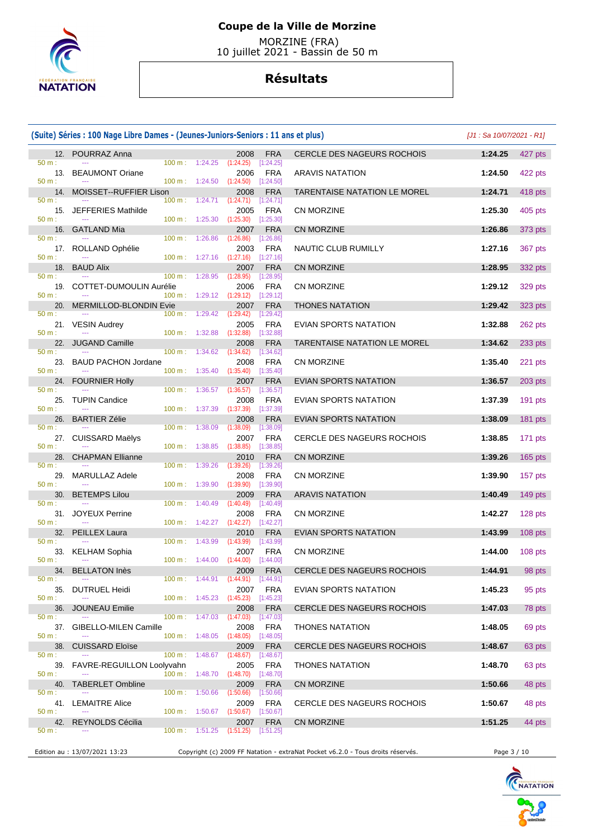

 MORZINE (FRA) 10 juillet 2021 - Bassin de 50 m

|                          | (Suite) Séries : 100 Nage Libre Dames - (Jeunes-Juniors-Seniors : 11 ans et plus) |                                                                            | $[J1: Sa 10/07/2021 - R1]$                                                                |                                                                                 |             |           |
|--------------------------|-----------------------------------------------------------------------------------|----------------------------------------------------------------------------|-------------------------------------------------------------------------------------------|---------------------------------------------------------------------------------|-------------|-----------|
|                          | 12. POURRAZ Anna                                                                  |                                                                            | <b>FRA</b><br>2008                                                                        | CERCLE DES NAGEURS ROCHOIS                                                      | 1:24.25     | 427 pts   |
| 50 m:<br>13.<br>50 m:    | <b>BEAUMONT Oriane</b>                                                            | $100 \text{ m}: 1:24.25$ $(1:24.25)$<br>$100 \text{ m}: 1:24.50 (1:24.50)$ | [1:24.25]<br>2006<br><b>FRA</b><br>[1:24.50]                                              | <b>ARAVIS NATATION</b>                                                          | 1:24.50     | 422 pts   |
| 14.<br>50 m:             | MOISSET--RUFFIER Lison                                                            | $100 \text{ m}$ :<br>1:24.71                                               | 2008<br><b>FRA</b>                                                                        | TARENTAISE NATATION LE MOREL                                                    | 1:24.71     | 418 pts   |
| 15.<br>50 m:             | JEFFERIES Mathilde                                                                | 100 m: 1:25.30                                                             | (1:24.71)<br>$[1:24.71]$<br>2005<br><b>FRA</b><br>(1:25.30)<br>[1:25.30]                  | CN MORZINE                                                                      | 1:25.30     | 405 pts   |
|                          | 16. GATLAND Mia                                                                   |                                                                            | 2007<br><b>FRA</b>                                                                        | <b>CN MORZINE</b>                                                               | 1:26.86     | 373 pts   |
| 50 m:<br>50 m:           | 17. ROLLAND Ophélie                                                               | $100 \text{ m}: 1:26.86$<br>$100 \text{ m}: 1:27.16$ $(1:27.16)$           | (1:26.86)<br>[1:26.86]<br><b>FRA</b><br>2003<br>[1:27.16]                                 | NAUTIC CLUB RUMILLY                                                             | 1:27.16     | 367 pts   |
| 18.                      | <b>BAUD Alix</b>                                                                  |                                                                            | <b>FRA</b><br>2007                                                                        | <b>CN MORZINE</b>                                                               | 1:28.95     | 332 pts   |
| 50 m:<br>19.<br>50 m:    | COTTET-DUMOULIN Aurélie                                                           | 100 m:<br>1:28.95<br>100 m: 1:29.12 (1:29.12)                              | (1:28.95)<br>[1:28.95]<br>2006<br>FRA<br>[1:29.12]                                        | CN MORZINE                                                                      | 1:29.12     | 329 pts   |
| 20.                      | MERMILLOD-BLONDIN Evie                                                            |                                                                            | <b>FRA</b><br>2007                                                                        | <b>THONES NATATION</b>                                                          | 1:29.42     | 323 pts   |
| 50 m:<br>50 m:           | 21. VESIN Audrey                                                                  | 1:29.42<br>100 m :<br>$100 \text{ m}: 1:32.88$                             | (1:29.42)<br>[1:29.42]<br><b>FRA</b><br>2005<br>[1:32.88]<br>(1:32.88)                    | EVIAN SPORTS NATATION                                                           | 1:32.88     | 262 pts   |
|                          | 22. JUGAND Camille                                                                |                                                                            | 2008<br><b>FRA</b>                                                                        | <b>TARENTAISE NATATION LE MOREL</b>                                             | 1:34.62     | 233 pts   |
| 50 m:<br>23.<br>50 m:    | <b>BAUD PACHON Jordane</b>                                                        | 100 m: 1:34.62<br>100 m: 1:35.40                                           | (1:34.62)<br>[1:34.62]<br><b>FRA</b><br>2008<br>[1:35.40]<br>(1:35.40)                    | CN MORZINE                                                                      | 1:35.40     | 221 pts   |
| 24.                      | <b>FOURNIER Holly</b>                                                             |                                                                            | <b>FRA</b><br>2007                                                                        | <b>EVIAN SPORTS NATATION</b>                                                    | 1:36.57     | 203 pts   |
| $50 m$ :<br>25.<br>50 m: | <b>TUPIN Candice</b>                                                              | $100 \text{ m}$ :<br>100 m:<br>1:37.39                                     | 1:36.57 (1:36.57)<br>[1:36.57]<br>2008<br><b>FRA</b><br>(1:37.39)<br>[1:37.39]            | EVIAN SPORTS NATATION                                                           | 1:37.39     | $191$ pts |
| 26.                      | <b>BARTIER Zélie</b>                                                              |                                                                            | <b>FRA</b><br>2008                                                                        | <b>EVIAN SPORTS NATATION</b>                                                    | 1:38.09     | 181 pts   |
| 50 m:<br>50 m:           | 27. CUISSARD Maëlys                                                               | 100 m:<br>1:38.09<br>$100 \text{ m}: 1:38.85$                              | (1:38.09)<br>[1:38.09]<br><b>FRA</b><br>2007<br>(1:38.85)<br>[1:38.85]                    | CERCLE DES NAGEURS ROCHOIS                                                      | 1:38.85     | 171 pts   |
| 28.                      | <b>CHAPMAN Ellianne</b>                                                           |                                                                            | 2010<br><b>FRA</b>                                                                        | <b>CN MORZINE</b>                                                               | 1:39.26     | $165$ pts |
| 50 m:<br>29.<br>50 m:    | <b>MARULLAZ Adele</b>                                                             | 100 m: 1:39.26<br>$100 \text{ m}: 1:39.90$                                 | (1:39.26)<br>[1:39.26]<br><b>FRA</b><br>2008<br>(1:39.90)<br>[1:39.90]                    | CN MORZINE                                                                      | 1:39.90     | 157 pts   |
| 30.                      | <b>BETEMPS Lilou</b>                                                              |                                                                            | <b>FRA</b><br>2009                                                                        | <b>ARAVIS NATATION</b>                                                          | 1:40.49     | 149 pts   |
| 50 m:<br>31.<br>50 m:    | <b>JOYEUX Perrine</b>                                                             | 100 m:<br>1:40.49<br>$100 \text{ m}: 1:42.27 (1:42.27)$                    | (1:40.49)<br>[1:40.49]<br>2008<br>FRA<br>$[1:42.27]$                                      | CN MORZINE                                                                      | 1:42.27     | 128 pts   |
| 32.                      | PEILLEX Laura                                                                     |                                                                            | 2010<br><b>FRA</b>                                                                        | <b>EVIAN SPORTS NATATION</b>                                                    | 1:43.99     | $108$ pts |
| 50 m:<br>50 m:           | 33. KELHAM Sophia                                                                 | $100 \text{ m}$ :<br>1:43.99                                               | (1:43.99)<br>[1:43.99]<br><b>FRA</b><br>2007<br>100 m : 1:44.00 (1:44.00) [1:44.00]       | <b>CN MORZINE</b>                                                               | 1:44.00     | $108$ pts |
|                          | 34. BELLATON Inès                                                                 |                                                                            | 2009 FRA                                                                                  | CERCLE DES NAGEURS ROCHOIS                                                      | 1:44.91     | 98 pts    |
| 50 m:<br>35.<br>50 m:    | $- - -$<br><b>DUTRUEL Heidi</b>                                                   | $100 \text{ m}: 1:44.91$<br>100 m: 1:45.23                                 | (1:44.91)<br>[1:44.91]<br><b>FRA</b><br>2007<br>(1:45.23)<br>[1:45.23]                    | EVIAN SPORTS NATATION                                                           | 1:45.23     | 95 pts    |
| 36.                      | <b>JOUNEAU Emilie</b>                                                             |                                                                            | <b>FRA</b><br>2008                                                                        | CERCLE DES NAGEURS ROCHOIS                                                      | 1:47.03     | 78 pts    |
| 50 m:<br>37.<br>50 m:    | GIBELLO-MILEN Camille                                                             | 100 m:<br>1:47.03<br>$100 \text{ m}: 1:48.05 (1:48.05)$                    | (1:47.03)<br>[1:47.03]<br>2008<br>FRA<br>[1:48.05]                                        | <b>THONES NATATION</b>                                                          | 1:48.05     | 69 pts    |
| 38.                      | <b>CUISSARD Eloïse</b>                                                            |                                                                            | <b>FRA</b><br>2009                                                                        | CERCLE DES NAGEURS ROCHOIS                                                      | 1:48.67     | 63 pts    |
| 50 m:<br>39.<br>50 m:    | FAVRE-REGUILLON Loolyvahn                                                         | 100 m:<br>100 m:                                                           | $1:48.67$ $(1:48.67)$<br>$[1:48.67]$<br>2005<br>FRA<br>$1:48.70$ $(1:48.70)$<br>[1:48.70] | <b>THONES NATATION</b>                                                          | 1:48.70     | 63 pts    |
| 40.                      | <b>TABERLET Ombline</b>                                                           |                                                                            | 2009<br><b>FRA</b>                                                                        | CN MORZINE                                                                      | 1:50.66     | 48 pts    |
| 50 m:<br>50 m:           | 41. LEMAITRE Alice                                                                | $100 \text{ m}: 1:50.66$<br>100 m: 1:50.67                                 | (1:50.66)<br>[1:50.66]<br>2009<br><b>FRA</b><br>(1:50.67)<br>[1:50.67]                    | CERCLE DES NAGEURS ROCHOIS                                                      | 1:50.67     | 48 pts    |
| 42.                      | REYNOLDS Cécilia                                                                  |                                                                            | 2007<br><b>FRA</b>                                                                        | CN MORZINE                                                                      | 1:51.25     | 44 pts    |
| 50 m:                    | Edition au : 13/07/2021 13:23                                                     | $100 \text{ m}$ :                                                          | $1:51.25$ $(1:51.25)$<br>[1:51.25]                                                        | Copyright (c) 2009 FF Natation - extraNat Pocket v6.2.0 - Tous droits réservés. | Page 3 / 10 |           |

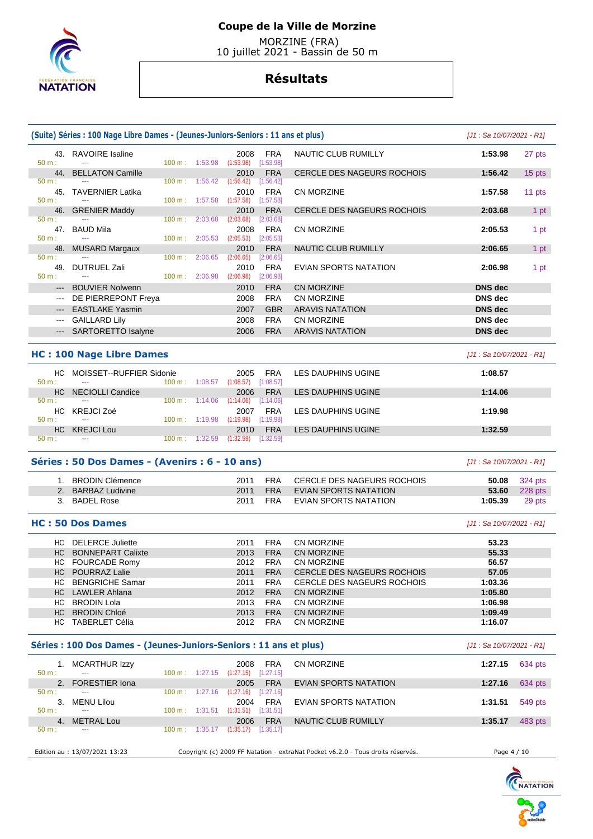

 MORZINE (FRA) 10 juillet 2021 - Bassin de 50 m

|                      | (Suite) Séries : 100 Nage Libre Dames - (Jeunes-Juniors-Seniors : 11 ans et plus) |                          |         |                                            |                          |                                                                                 | $[J1: Sa 10/07/2021 - R1]$       |                |
|----------------------|-----------------------------------------------------------------------------------|--------------------------|---------|--------------------------------------------|--------------------------|---------------------------------------------------------------------------------|----------------------------------|----------------|
| 43.<br>50 m:         | <b>RAVOIRE</b> Isaline                                                            | 100 m: 1:53.98           |         | 2008<br>(1:53.98)                          | <b>FRA</b><br>[1:53.98]  | <b>NAUTIC CLUB RUMILLY</b>                                                      | 1:53.98                          | 27 pts         |
| 44.                  | <b>BELLATON Camille</b>                                                           |                          |         | 2010                                       | <b>FRA</b>               | <b>CERCLE DES NAGEURS ROCHOIS</b>                                               | 1:56.42                          | 15 pts         |
| 50 m:                |                                                                                   | 100 m: 1:56.42           |         | (1:56.42)                                  | [1:56.42]                |                                                                                 |                                  |                |
| 45.<br>50 m:         | <b>TAVERNIER Latika</b>                                                           | $100 \text{ m}$ :        | 1:57.58 | 2010<br>(1:57.58)                          | <b>FRA</b><br>[1:57.58]  | <b>CN MORZINE</b>                                                               | 1:57.58                          | 11 pts         |
| 46.                  | <b>GRENIER Maddy</b>                                                              |                          |         | 2010                                       | <b>FRA</b>               | <b>CERCLE DES NAGEURS ROCHOIS</b>                                               | 2:03.68                          | 1 pt           |
| 50 m:                |                                                                                   | $100 \text{ m}$ :        | 2:03.68 | (2:03.68)                                  | [2:03.68]                |                                                                                 |                                  |                |
| 47.<br>50 m:         | <b>BAUD Mila</b>                                                                  | $100 \text{ m}$ :        |         | 2008<br>(2:05.53)                          | <b>FRA</b><br>[2:05.53]  | <b>CN MORZINE</b>                                                               | 2:05.53                          | 1 pt           |
| 48.                  | <b>MUSARD Margaux</b>                                                             |                          | 2:05.53 | 2010                                       | <b>FRA</b>               | NAUTIC CLUB RUMILLY                                                             | 2:06.65                          | 1 pt           |
| 50 m:                |                                                                                   | $100 \text{ m}$ :        | 2:06.65 | (2:06.65)                                  | [2:06.65]                |                                                                                 |                                  |                |
| 49.                  | DUTRUEL Zali                                                                      |                          |         | 2010                                       | <b>FRA</b>               | EVIAN SPORTS NATATION                                                           | 2:06.98                          | 1 pt           |
| 50 m:                |                                                                                   | 100 m: 2:06.98           |         | (2:06.98)                                  | [2:06.98]                |                                                                                 |                                  |                |
| $---$                | <b>BOUVIER Nolwenn</b>                                                            |                          |         | 2010                                       | <b>FRA</b>               | <b>CN MORZINE</b>                                                               | <b>DNS</b> dec                   |                |
| $\scriptstyle\cdots$ | DE PIERREPONT Freya                                                               |                          |         | 2008                                       | <b>FRA</b>               | <b>CN MORZINE</b>                                                               | <b>DNS</b> dec                   |                |
| $\qquad \qquad -$    | <b>EASTLAKE Yasmin</b><br><b>GAILLARD Lily</b>                                    |                          |         | 2007<br>2008                               | <b>GBR</b><br><b>FRA</b> | <b>ARAVIS NATATION</b><br>CN MORZINE                                            | <b>DNS</b> dec<br><b>DNS</b> dec |                |
| $\qquad \qquad - -$  | <b>SARTORETTO Isalyne</b>                                                         |                          |         | 2006                                       | <b>FRA</b>               | <b>ARAVIS NATATION</b>                                                          | <b>DNS</b> dec                   |                |
|                      |                                                                                   |                          |         |                                            |                          |                                                                                 |                                  |                |
|                      | <b>HC: 100 Nage Libre Dames</b>                                                   |                          |         |                                            |                          |                                                                                 | [J1 : Sa 10/07/2021 - R1]        |                |
| HC.                  | MOISSET--RUFFIER Sidonie                                                          |                          |         | 2005                                       | <b>FRA</b>               | LES DAUPHINS UGINE                                                              | 1:08.57                          |                |
| 50 m:<br>HС          | <b>NECIOLLI Candice</b>                                                           | $100 \text{ m}: 1:08.57$ |         | (1:08.57)<br>2006                          | [1:08.57]<br><b>FRA</b>  | LES DAUPHINS UGINE                                                              | 1:14.06                          |                |
| 50 m:                |                                                                                   | $100 \text{ m}$ :        | 1:14.06 | (1:14.06)                                  | [1:14.06]                |                                                                                 |                                  |                |
| HC                   | <b>KREJCI Zoé</b>                                                                 |                          |         | 2007                                       | FRA                      | LES DAUPHINS UGINE                                                              | 1:19.98                          |                |
| 50 m:                | <u>.</u>                                                                          | $100 \text{ m}: 1:19.98$ |         | (1:19.98)                                  | [1:19.98]                |                                                                                 |                                  |                |
| HС<br>50 m:          | <b>KREJCI Lou</b>                                                                 | $100 \text{ m}: 1:32.59$ |         | 2010<br>(1:32.59)                          | <b>FRA</b><br>[1:32.59]  | <b>LES DAUPHINS UGINE</b>                                                       | 1:32.59                          |                |
|                      | Séries : 50 Dos Dames - (Avenirs : 6 - 10 ans)                                    |                          |         |                                            |                          |                                                                                 | $[J1: Sa 10/07/2021 - R1]$       |                |
|                      | 1. BRODIN Clémence                                                                |                          |         | 2011                                       | <b>FRA</b>               | <b>CERCLE DES NAGEURS ROCHOIS</b>                                               | 50.08                            | <b>324 pts</b> |
|                      | 2. BARBAZ Ludivine                                                                |                          |         | 2011                                       | <b>FRA</b>               | <b>EVIAN SPORTS NATATION</b>                                                    | 53.60                            | 228 pts        |
|                      | 3. BADEL Rose                                                                     |                          |         | 2011                                       | <b>FRA</b>               | EVIAN SPORTS NATATION                                                           | 1:05.39                          | 29 pts         |
|                      | <b>HC: 50 Dos Dames</b>                                                           |                          |         |                                            |                          |                                                                                 | $[J1: Sa 10/07/2021 - R1]$       |                |
|                      | HC DELERCE Juliette                                                               |                          |         | 2011                                       | <b>FRA</b>               | <b>CN MORZINE</b>                                                               | 53.23                            |                |
| HC.                  | <b>BONNEPART Calixte</b>                                                          |                          |         | 2013                                       | <b>FRA</b>               | <b>CN MORZINE</b>                                                               | 55.33                            |                |
|                      | HC FOURCADE Romy                                                                  |                          |         | 2012                                       | FRA                      | <b>CN MORZINE</b>                                                               | 56.57                            |                |
|                      | HC POURRAZ Lalie                                                                  |                          |         | 2011                                       | <b>FRA</b>               | CERCLE DES NAGEURS ROCHOIS                                                      | 57.05                            |                |
|                      | HC BENGRICHE Samar                                                                |                          |         | 2011                                       | FRA                      | CERCLE DES NAGEURS ROCHOIS                                                      | 1:03.36                          |                |
|                      | HC LAWLER Ahlana                                                                  |                          |         | 2012                                       | <b>FRA</b>               | CN MORZINE                                                                      | 1:05.80                          |                |
|                      | HC BRODIN Lola<br>HC BRODIN Chloé                                                 |                          |         | 2013<br>2013                               | <b>FRA</b><br><b>FRA</b> | CN MORZINE<br>CN MORZINE                                                        | 1:06.98                          |                |
|                      | HC TABERLET Célia                                                                 |                          |         | 2012                                       | <b>FRA</b>               | CN MORZINE                                                                      | 1:09.49<br>1:16.07               |                |
|                      | Séries : 100 Dos Dames - (Jeunes-Juniors-Seniors : 11 ans et plus)                |                          |         |                                            |                          |                                                                                 | [J1 : Sa 10/07/2021 - R1]        |                |
|                      | 1. MCARTHUR Izzy                                                                  |                          |         | 2008                                       | FRA                      | <b>CN MORZINE</b>                                                               | 1:27.15                          | 634 pts        |
| 50 m:                |                                                                                   |                          |         | 100 m: 1:27.15 (1:27.15) [1:27.15]         |                          |                                                                                 |                                  |                |
| 2.                   | <b>FORESTIER Iona</b>                                                             |                          |         | 2005                                       | <b>FRA</b>               | <b>EVIAN SPORTS NATATION</b>                                                    | 1:27.16                          | 634 pts        |
| 50 m:                |                                                                                   |                          |         | 100 m: 1:27.16 (1:27.16) [1:27.16]         |                          |                                                                                 |                                  |                |
| 3.<br>50 m:          | MENU Lilou                                                                        |                          |         | 2004<br>100 m: 1:31.51 (1:31.51) [1:31.51] | FRA                      | EVIAN SPORTS NATATION                                                           | 1:31.51                          | 549 pts        |
|                      | 4. METRAL Lou                                                                     |                          |         | 2006                                       | <b>FRA</b>               | NAUTIC CLUB RUMILLY                                                             | 1:35.17                          | 483 pts        |
| 50 m:                |                                                                                   |                          |         | 100 m: 1:35.17 (1:35.17) [1:35.17]         |                          |                                                                                 |                                  |                |
|                      |                                                                                   |                          |         |                                            |                          |                                                                                 |                                  |                |
|                      | Edition au : 13/07/2021 13:23                                                     |                          |         |                                            |                          | Copyright (c) 2009 FF Natation - extraNat Pocket v6.2.0 - Tous droits réservés. | Page 4 / 10                      |                |

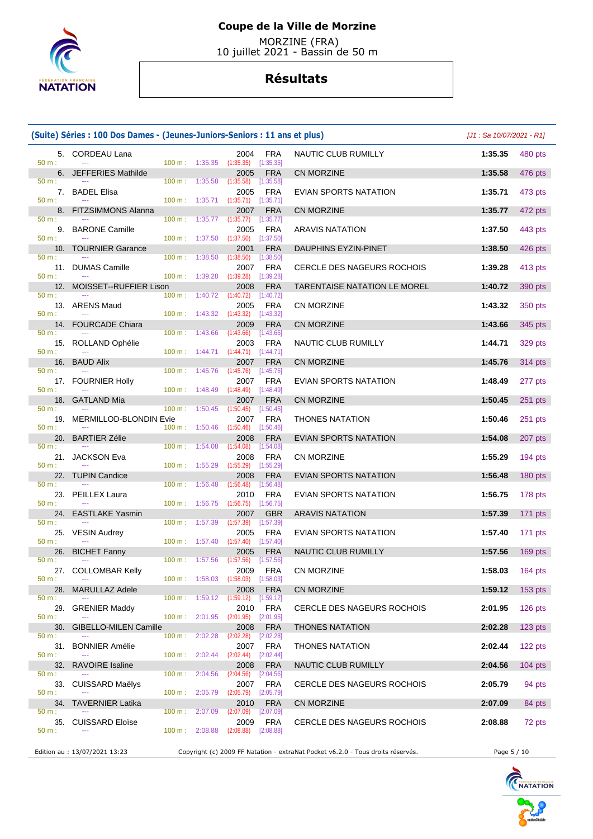

 MORZINE (FRA) 10 juillet 2021 - Bassin de 50 m

|                       | (Suite) Séries : 100 Dos Dames - (Jeunes-Juniors-Seniors : 11 ans et plus) |                   |                                                 |                                                                                                  |                                                                                 | $[J1: Sa 10/07/2021 - R1]$ |           |
|-----------------------|----------------------------------------------------------------------------|-------------------|-------------------------------------------------|--------------------------------------------------------------------------------------------------|---------------------------------------------------------------------------------|----------------------------|-----------|
| 50 m:                 | 5. CORDEAU Lana                                                            |                   | $100 \text{ m}: 1:35.35$                        | <b>FRA</b><br>2004<br>(1:35.35)<br>[1:35.35]                                                     | NAUTIC CLUB RUMILLY                                                             | 1:35.35                    | 480 pts   |
|                       | 6. JEFFERIES Mathilde                                                      |                   |                                                 | 2005<br><b>FRA</b>                                                                               | CN MORZINE                                                                      | 1:35.58                    | 476 pts   |
| 50 m:<br>50 m:        | 7. BADEL Elisa                                                             | $100 \text{ m}$ : | 1:35.58                                         | (1:35.58)<br>[1:35.58]<br>2005<br><b>FRA</b><br>$100 \text{ m}: 1:35.71$ $(1:35.71)$ $[1:35.71]$ | EVIAN SPORTS NATATION                                                           | 1:35.71                    | 473 pts   |
|                       | 8. FITZSIMMONS Alanna                                                      |                   |                                                 | 2007<br><b>FRA</b>                                                                               | CN MORZINE                                                                      | 1:35.77                    | 472 pts   |
| 50 m:                 | 9. BARONE Camille                                                          |                   | $100 \text{ m}: 1:35.77$ $(1:35.77)$            | [1:35.77]<br>2005<br>FRA                                                                         | <b>ARAVIS NATATION</b>                                                          | 1:37.50                    | 443 pts   |
| 50 m:                 | 10. TOURNIER Garance                                                       |                   | $100 \text{ m}: 1:37.50 (1:37.50)$              | [1:37.50]<br>2001<br><b>FRA</b>                                                                  | DAUPHINS EYZIN-PINET                                                            | 1:38.50                    | 426 pts   |
| $50 m$ :              | 11. DUMAS Camille                                                          | 100 m: 1:38.50    |                                                 | (1:38.50)<br>[1:38.50]<br>2007<br><b>FRA</b>                                                     | CERCLE DES NAGEURS ROCHOIS                                                      | 1:39.28                    | 413 pts   |
| 50 m:                 | 12. MOISSET--RUFFIER Lison                                                 |                   | 100 m: 1:39.28                                  | (1:39.28)<br>[1:39.28]<br>2008<br><b>FRA</b>                                                     | TARENTAISE NATATION LE MOREL                                                    | 1:40.72                    | 390 pts   |
| 50 m:                 |                                                                            |                   | $100 \text{ m}: 1:40.72$ $(1:40.72)$            | [1:40.72]                                                                                        |                                                                                 |                            |           |
| 50 m:                 | 13. ARENS Maud                                                             |                   | $100 \text{ m}: 1:43.32 (1:43.32)$              | 2005<br><b>FRA</b><br>[1:43.32]                                                                  | CN MORZINE                                                                      | 1:43.32                    | 350 pts   |
| $50 m$ :              | 14. FOURCADE Chiara                                                        |                   | $100 \text{ m}: 1:43.66$                        | 2009<br><b>FRA</b><br>(1:43.66)<br>[1:43.66]                                                     | CN MORZINE                                                                      | 1:43.66                    | 345 pts   |
| 50 m:                 | 15. ROLLAND Ophélie                                                        |                   |                                                 | 2003<br>FRA<br>100 m : 1:44.71 (1:44.71) [1:44.71]                                               | NAUTIC CLUB RUMILLY                                                             | 1:44.71                    | 329 pts   |
| $50 m$ :              | 16. BAUD Alix                                                              |                   |                                                 | 2007<br><b>FRA</b>                                                                               | CN MORZINE                                                                      | 1:45.76                    | 314 pts   |
| 50 m:                 | 17. FOURNIER Holly                                                         | 100 m:            | 1:45.76<br>$100 \text{ m}: 1:48.49$ $(1:48.49)$ | (1:45.76)<br>[1:45.76]<br><b>FRA</b><br>2007<br>[1:48.49]                                        | EVIAN SPORTS NATATION                                                           | 1:48.49                    | 277 pts   |
| 18.                   | <b>GATLAND Mia</b>                                                         |                   |                                                 | 2007<br><b>FRA</b>                                                                               | CN MORZINE                                                                      | 1:50.45                    | $251$ pts |
| 50 m:<br>19.<br>50 m: | <b>MERMILLOD-BLONDIN Evie</b>                                              | 100 m:            | 1:50.45<br>100 m: 1:50.46 (1:50.46)             | (1:50.45)<br>[1:50.45]<br><b>FRA</b><br>2007<br>$[1:50.46]$                                      | <b>THONES NATATION</b>                                                          | 1:50.46                    | 251 pts   |
| 20.                   | <b>BARTIER Zélie</b>                                                       |                   |                                                 | 2008<br><b>FRA</b>                                                                               | <b>EVIAN SPORTS NATATION</b>                                                    | 1:54.08                    | 207 pts   |
| 50 m:                 | 21. JACKSON Eva                                                            | 100 m: 1:54.08    |                                                 | (1:54.08)<br>[1:54.08]<br>2008<br>FRA                                                            | CN MORZINE                                                                      | 1:55.29                    | $194$ pts |
| 50 m:                 | 22. TUPIN Candice                                                          | 100 m: 1:55.29    |                                                 | [1:55.29]<br>(1:55.29)<br><b>FRA</b><br>2008                                                     | <b>EVIAN SPORTS NATATION</b>                                                    | 1:56.48                    | 180 pts   |
| 50 m:                 | 23. PEILLEX Laura                                                          | 100 m: 1:56.48    |                                                 | (1:56.48)<br>[1:56.48]<br>2010<br><b>FRA</b>                                                     | EVIAN SPORTS NATATION                                                           | 1:56.75                    | 178 pts   |
| 50 m:<br>24.          | <b>EASTLAKE Yasmin</b>                                                     | 100 m:            | 1:56.75                                         | (1:56.75)<br>[1:56.75]<br>2007<br><b>GBR</b>                                                     | <b>ARAVIS NATATION</b>                                                          | 1:57.39                    | 171 pts   |
| 50 m:<br>25.          | <b>VESIN Audrey</b>                                                        | 100 m: 1:57.39    |                                                 | (1:57.39)<br>[1:57.39]<br>2005<br><b>FRA</b>                                                     | EVIAN SPORTS NATATION                                                           | 1:57.40                    | $171$ pts |
| 50 m:                 |                                                                            | 100 m:            | 1:57.40                                         | $(1:57.40)$ [1:57.40]                                                                            |                                                                                 |                            |           |
| 26.<br>50 m:          | <b>BICHET Fanny</b>                                                        |                   |                                                 | 2005<br><b>FRA</b><br>100 m : 1:57.56 (1:57.56) [1:57.56]                                        | NAUTIC CLUB RUMILLY                                                             | 1:57.56                    | 169 pts   |
| 50 m:                 | 27. COLLOMBAR Kelly                                                        |                   |                                                 | 2009 FRA<br>100 m: 1:58.03 (1:58.03) [1:58.03]                                                   | CN MORZINE                                                                      | 1:58.03                    | 164 pts   |
| 50 m:                 | 28. MARULLAZ Adele                                                         |                   | 100 m: 1:59.12                                  | <b>FRA</b><br>2008<br>(1:59.12)<br>[1:59.12]                                                     | CN MORZINE                                                                      | 1:59.12                    | 153 pts   |
| 29.<br>50 m:          | <b>GRENIER Maddy</b>                                                       |                   | 100 m: 2:01.95                                  | 2010<br>FRA<br>(2:01.95)<br>[2:01.95]                                                            | CERCLE DES NAGEURS ROCHOIS                                                      | 2:01.95                    | $126$ pts |
| 30.                   | GIBELLO-MILEN Camille                                                      |                   |                                                 | 2008<br><b>FRA</b>                                                                               | <b>THONES NATATION</b>                                                          | 2:02.28                    | $123$ pts |
| 50 m:<br>31.          | <b>BONNIER Amélie</b>                                                      | $100 \text{ m}$ : | 2:02.28<br>$100 \text{ m}: 2:02.44$             | (2:02.28)<br>[2:02.28]<br><b>FRA</b><br>2007                                                     | <b>THONES NATATION</b>                                                          | 2:02.44                    | 122 pts   |
| 50 m:<br>32.          | <b>RAVOIRE</b> Isaline                                                     |                   |                                                 | $(2:02.44)$ $[2:02.44]$<br><b>FRA</b><br>2008                                                    | NAUTIC CLUB RUMILLY                                                             | 2:04.56                    | $104$ pts |
| 50 m:                 | 33. CUISSARD Maëlys                                                        | $100 \text{ m}$ : | 2:04.56                                         | (2:04.56)<br>[2:04.56]<br>2007<br><b>FRA</b>                                                     | CERCLE DES NAGEURS ROCHOIS                                                      | 2:05.79                    | 94 pts    |
| 50 m:                 |                                                                            |                   | 100 m: 2:05.79                                  | (2:05.79)<br>[2:05.79]<br>2010                                                                   |                                                                                 | 2:07.09                    |           |
| $50 m$ :              | 34. TAVERNIER Latika                                                       | $100 \text{ m}$ : | 2:07.09                                         | <b>FRA</b><br>(2:07.09)<br>[2:07.09]                                                             | CN MORZINE                                                                      |                            | 84 pts    |
| 35.<br>50 m:          | <b>CUISSARD Eloïse</b>                                                     |                   | 100 m: 2:08.88                                  | 2009<br><b>FRA</b><br>(2:08.88)<br>[2:08.88]                                                     | CERCLE DES NAGEURS ROCHOIS                                                      | 2:08.88                    | 72 pts    |
|                       | Edition au : 13/07/2021 13:23                                              |                   |                                                 |                                                                                                  | Copyright (c) 2009 FF Natation - extraNat Pocket v6.2.0 - Tous droits réservés. | Page 5 / 10                |           |

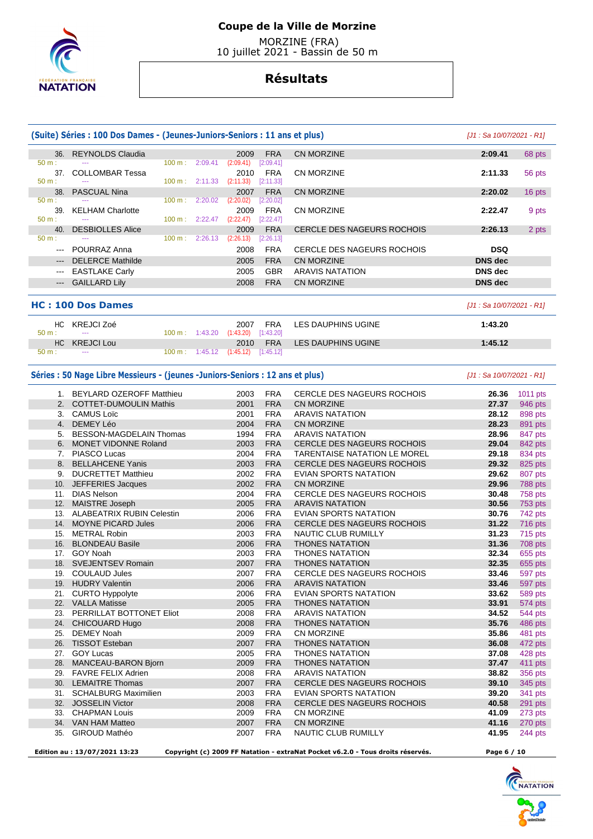

 MORZINE (FRA) 10 juillet 2021 - Bassin de 50 m

## **Résultats**

|                                     | (Suite) Séries : 100 Dos Dames - (Jeunes-Juniors-Seniors : 11 ans et plus) |        |                          |                   |                  |                                   |                |        |  |  |
|-------------------------------------|----------------------------------------------------------------------------|--------|--------------------------|-------------------|------------------|-----------------------------------|----------------|--------|--|--|
| 36.                                 | <b>REYNOLDS Claudia</b>                                                    |        |                          | 2009              | <b>FRA</b>       | CN MORZINE                        | 2:09.41        | 68 pts |  |  |
| 50 m:                               | ---                                                                        | 100 m: | 2:09.41                  | (2:09.41)         | [2:09.41]        |                                   |                |        |  |  |
| 37 <sub>1</sub><br>$50 \text{ m}$ : | <b>COLLOMBAR Tessa</b><br>---                                              |        | $100 \text{ m}: 2:11.33$ | 2010<br>(2:11.33) | FRA<br>[2:11.33] | CN MORZINE                        | 2:11.33        | 56 pts |  |  |
| 38.                                 | <b>PASCUAL Nina</b>                                                        |        |                          | 2007              | <b>FRA</b>       | CN MORZINE                        | 2:20.02        | 16 pts |  |  |
| $50 m$ :                            | ---                                                                        | 100 m: | 2:20.02                  | (2:20.02)         | [2:20.02]        |                                   |                |        |  |  |
| 39.                                 | <b>KELHAM Charlotte</b>                                                    |        |                          | 2009              | <b>FRA</b>       | CN MORZINE                        | 2:22.47        | 9 pts  |  |  |
| $50 m$ :                            | ---                                                                        | 100 m: | 2:22.47                  | (2:22.47)         | [2:22.47]        |                                   |                |        |  |  |
| 40.                                 | <b>DESBIOLLES Alice</b>                                                    |        |                          | 2009              | <b>FRA</b>       | <b>CERCLE DES NAGEURS ROCHOIS</b> | 2:26.13        | 2 pts  |  |  |
| 50 m:                               | ---                                                                        | 100 m: | 2:26.13                  | (2:26.13)         | [2:26.13]        |                                   |                |        |  |  |
| $- - -$                             | POURRAZ Anna                                                               |        |                          | 2008              | <b>FRA</b>       | CERCLE DES NAGEURS ROCHOIS        | <b>DSQ</b>     |        |  |  |
| $---$                               | <b>DELERCE Mathilde</b>                                                    |        |                          | 2005              | <b>FRA</b>       | CN MORZINE                        | <b>DNS</b> dec |        |  |  |
| $\qquad \qquad -$                   | <b>EASTLAKE Carly</b>                                                      |        |                          | 2005              | <b>GBR</b>       | <b>ARAVIS NATATION</b>            | DNS dec        |        |  |  |
| $\qquad \qquad \cdots$              | <b>GAILLARD Lily</b>                                                       |        |                          | 2008              | <b>FRA</b>       | CN MORZINE                        | DNS dec        |        |  |  |

#### **HC : 100 Dos Dames** [J1 : Sa 10/07/2021 - R1]

|          | HC KREJCI Zoé |  | 2007                                             | FRA        | LES DAUPHINS UGINE | 1:43.20 |
|----------|---------------|--|--------------------------------------------------|------------|--------------------|---------|
| 50 m:    | $\sim$ $\sim$ |  | $100 \text{ m}: 1:43.20$ $(1:43.20)$ $[1:43.20]$ |            |                    |         |
|          | HC KREJCI Lou |  | 2010                                             | <b>FRA</b> | LES DAUPHINS UGINE | 1:45.12 |
| $50 m$ : | $\sim$ $\sim$ |  | 100 m: 1:45.12 (1:45.12) [1:45.12]               |            |                    |         |

#### Séries : 50 Nage Libre Messieurs - (jeunes -Juniors-Seniors : 12 ans et plus) *[J1 : Sa 10/07/2021 - R1]*

|     | 1. BEYLARD OZEROFF Matthieu      | 2003 | <b>FRA</b> | <b>CERCLE DES NAGEURS ROCHOIS</b>   | 26.36 | 1011 pts       |
|-----|----------------------------------|------|------------|-------------------------------------|-------|----------------|
|     | 2. COTTET-DUMOULIN Mathis        | 2001 | <b>FRA</b> | <b>CN MORZINE</b>                   | 27.37 | 946 pts        |
| 3.  | <b>CAMUS Loïc</b>                | 2001 | <b>FRA</b> | <b>ARAVIS NATATION</b>              | 28.12 | 898 pts        |
| 4.  | DEMEY Léo                        | 2004 | <b>FRA</b> | <b>CN MORZINE</b>                   | 28.23 | 891 pts        |
| 5.  | <b>BESSON-MAGDELAIN Thomas</b>   | 1994 | <b>FRA</b> | <b>ARAVIS NATATION</b>              | 28.96 | 847 pts        |
| 6.  | <b>MONET VIDONNE Roland</b>      | 2003 | <b>FRA</b> | CERCLE DES NAGEURS ROCHOIS          | 29.04 | 842 pts        |
| 7.  | PIASCO Lucas                     | 2004 | <b>FRA</b> | <b>TARENTAISE NATATION LE MOREL</b> | 29.18 | 834 pts        |
|     | 8. BELLAHCENE Yanis              | 2003 | <b>FRA</b> | <b>CERCLE DES NAGEURS ROCHOIS</b>   | 29.32 | 825 pts        |
| 9.  | <b>DUCRETTET Matthieu</b>        | 2002 | <b>FRA</b> | <b>EVIAN SPORTS NATATION</b>        | 29.62 | 807 pts        |
|     | 10. JEFFERIES Jacques            | 2002 | <b>FRA</b> | CN MORZINE                          | 29.96 | 788 pts        |
| 11. | <b>DIAS Nelson</b>               | 2004 | <b>FRA</b> | <b>CERCLE DES NAGEURS ROCHOIS</b>   | 30.48 | 758 pts        |
|     | 12. MAISTRE Joseph               | 2005 | <b>FRA</b> | <b>ARAVIS NATATION</b>              | 30.56 | 753 pts        |
| 13. | <b>ALABEATRIX RUBIN Celestin</b> | 2006 | <b>FRA</b> | EVIAN SPORTS NATATION               | 30.76 | 742 pts        |
| 14. | <b>MOYNE PICARD Jules</b>        | 2006 | <b>FRA</b> | <b>CERCLE DES NAGEURS ROCHOIS</b>   | 31.22 | 716 pts        |
| 15. | <b>METRAL Robin</b>              | 2003 | <b>FRA</b> | <b>NAUTIC CLUB RUMILLY</b>          | 31.23 | 715 pts        |
| 16. | <b>BLONDEAU Basile</b>           | 2006 | <b>FRA</b> | <b>THONES NATATION</b>              | 31.36 | 708 pts        |
| 17. | GOY Noah                         | 2003 | <b>FRA</b> | <b>THONES NATATION</b>              | 32.34 | 655 pts        |
| 18. | <b>SVEJENTSEV Romain</b>         | 2007 | <b>FRA</b> | <b>THONES NATATION</b>              | 32.35 | 655 pts        |
| 19. | <b>COULAUD Jules</b>             | 2007 | <b>FRA</b> | <b>CERCLE DES NAGEURS ROCHOIS</b>   | 33.46 | 597 pts        |
| 19. | <b>HUDRY Valentin</b>            | 2006 | <b>FRA</b> | <b>ARAVIS NATATION</b>              | 33.46 | 597 pts        |
| 21. | <b>CURTO Hyppolyte</b>           | 2006 | <b>FRA</b> | <b>EVIAN SPORTS NATATION</b>        | 33.62 | 589 pts        |
| 22. | <b>VALLA Matisse</b>             | 2005 | <b>FRA</b> | <b>THONES NATATION</b>              | 33.91 | 574 pts        |
| 23. | PERRILLAT BOTTONET Eliot         | 2008 | <b>FRA</b> | <b>ARAVIS NATATION</b>              | 34.52 | <b>544 pts</b> |
| 24. | CHICOUARD Hugo                   | 2008 | <b>FRA</b> | <b>THONES NATATION</b>              | 35.76 | 486 pts        |
| 25. | <b>DEMEY Noah</b>                | 2009 | <b>FRA</b> | <b>CN MORZINE</b>                   | 35.86 | 481 pts        |
| 26. | <b>TISSOT Esteban</b>            | 2007 | <b>FRA</b> | <b>THONES NATATION</b>              | 36.08 | 472 pts        |
| 27. | <b>GOY Lucas</b>                 | 2005 | <b>FRA</b> | <b>THONES NATATION</b>              | 37.08 | 428 pts        |
| 28. | MANCEAU-BARON Bjorn              | 2009 | <b>FRA</b> | <b>THONES NATATION</b>              | 37.47 | 411 pts        |
| 29. | <b>FAVRE FELIX Adrien</b>        | 2008 | <b>FRA</b> | <b>ARAVIS NATATION</b>              | 38.82 | 356 pts        |
| 30. | <b>LEMAITRE Thomas</b>           | 2007 | <b>FRA</b> | <b>CERCLE DES NAGEURS ROCHOIS</b>   | 39.10 | 345 pts        |
| 31. | <b>SCHALBURG Maximilien</b>      | 2003 | <b>FRA</b> | <b>EVIAN SPORTS NATATION</b>        | 39.20 | 341 pts        |
| 32. | <b>JOSSELIN Victor</b>           | 2008 | <b>FRA</b> | CERCLE DES NAGEURS ROCHOIS          | 40.58 | 291 pts        |
| 33. | <b>CHAPMAN Louis</b>             | 2009 | <b>FRA</b> | <b>CN MORZINE</b>                   | 41.09 | 273 pts        |
| 34. | VAN HAM Matteo                   | 2007 | <b>FRA</b> | <b>CN MORZINE</b>                   | 41.16 | 270 pts        |
| 35. | <b>GIROUD Mathéo</b>             | 2007 | <b>FRA</b> | <b>NAUTIC CLUB RUMILLY</b>          | 41.95 | 244 pts        |
|     |                                  |      |            |                                     |       |                |

 **Edition au : 13/07/2021 13:23 Copyright (c) 2009 FF Natation - extraNat Pocket v6.2.0 - Tous droits réservés. Page 6 / 10** 



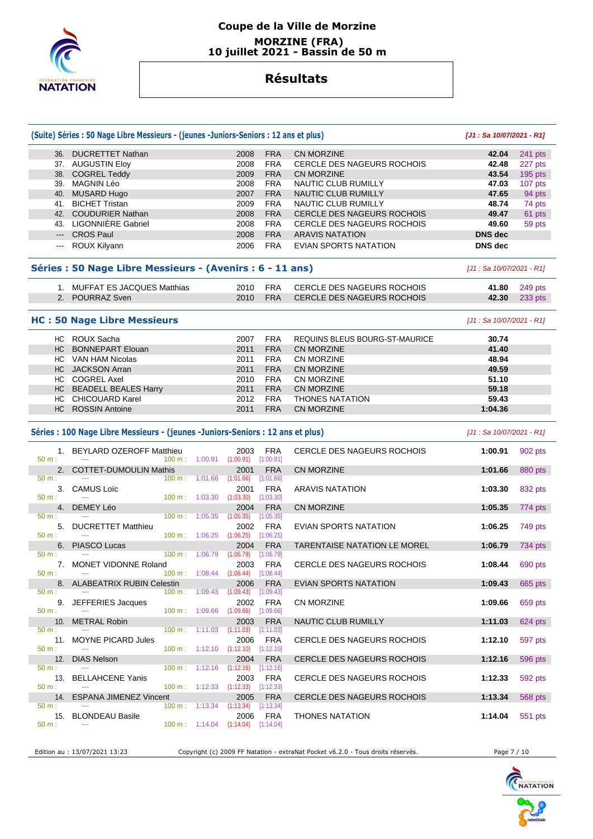

### **Coupe de la Ville de Morzine MORZINE (FRA) 10 juillet 2021 - Bassin de 50 m**

## **Résultats**

|              | (Suite) Séries : 50 Nage Libre Messieurs - (jeunes -Juniors-Seniors : 12 ans et plus) |                                      |                                                          |                         |                                   | [J1: Sa 10/07/2021 - R1]  |           |
|--------------|---------------------------------------------------------------------------------------|--------------------------------------|----------------------------------------------------------|-------------------------|-----------------------------------|---------------------------|-----------|
|              | 36. DUCRETTET Nathan                                                                  |                                      | 2008                                                     | <b>FRA</b>              | <b>CN MORZINE</b>                 | 42.04                     | 241 pts   |
|              | 37. AUGUSTIN Eloy                                                                     |                                      | 2008                                                     | <b>FRA</b>              | CERCLE DES NAGEURS ROCHOIS        | 42.48                     | 227 pts   |
|              | 38. COGREL Teddy                                                                      |                                      | 2009                                                     | <b>FRA</b>              | <b>CN MORZINE</b>                 | 43.54                     | $195$ pts |
|              | 39. MAGNIN Léo                                                                        |                                      | 2008                                                     | <b>FRA</b>              | NAUTIC CLUB RUMILLY               | 47.03                     | 107 pts   |
|              | 40. MUSARD Hugo                                                                       |                                      | 2007                                                     | <b>FRA</b>              | NAUTIC CLUB RUMILLY               | 47.65                     | 94 pts    |
|              | 41. BICHET Tristan                                                                    |                                      | 2009                                                     | <b>FRA</b>              | NAUTIC CLUB RUMILLY               | 48.74                     | 74 pts    |
|              | 42. COUDURIER Nathan                                                                  |                                      | 2008                                                     | <b>FRA</b>              | CERCLE DES NAGEURS ROCHOIS        | 49.47                     | 61 pts    |
|              | 43. LIGONNIÈRE Gabriel                                                                |                                      | 2008                                                     | <b>FRA</b>              | CERCLE DES NAGEURS ROCHOIS        | 49.60                     | 59 pts    |
|              | --- CROS Paul                                                                         |                                      | 2008                                                     | <b>FRA</b>              | <b>ARAVIS NATATION</b>            | <b>DNS</b> dec            |           |
| $- - -$      | ROUX Kilyann                                                                          |                                      | 2006                                                     | <b>FRA</b>              | <b>EVIAN SPORTS NATATION</b>      | <b>DNS</b> dec            |           |
|              | Séries : 50 Nage Libre Messieurs - (Avenirs : 6 - 11 ans)                             |                                      | [J1 : Sa 10/07/2021 - R1]                                |                         |                                   |                           |           |
|              | 1. MUFFAT ES JACQUES Matthias                                                         |                                      | 2010                                                     | <b>FRA</b>              | <b>CERCLE DES NAGEURS ROCHOIS</b> | 41.80                     | 249 pts   |
|              | 2. POURRAZ Sven                                                                       |                                      | 2010                                                     | <b>FRA</b>              | CERCLE DES NAGEURS ROCHOIS        | 42.30                     | 233 pts   |
|              | <b>HC: 50 Nage Libre Messieurs</b>                                                    |                                      |                                                          |                         |                                   | [J1 : Sa 10/07/2021 - R1] |           |
|              | HC ROUX Sacha                                                                         |                                      | 2007                                                     | <b>FRA</b>              | REQUINS BLEUS BOURG-ST-MAURICE    | 30.74                     |           |
| HC           | <b>BONNEPART Elouan</b>                                                               |                                      | 2011                                                     | <b>FRA</b>              | <b>CN MORZINE</b>                 | 41.40                     |           |
|              | HC VAN HAM Nicolas                                                                    |                                      | 2011                                                     | <b>FRA</b>              | <b>CN MORZINE</b>                 | 48.94                     |           |
|              | HC JACKSON Arran                                                                      |                                      | 2011                                                     | <b>FRA</b>              | <b>CN MORZINE</b>                 | 49.59                     |           |
|              | HC COGREL Axel                                                                        |                                      | 2010                                                     | <b>FRA</b>              | CN MORZINE                        | 51.10                     |           |
|              | HC BEADELL BEALES Harry                                                               |                                      | 2011                                                     | <b>FRA</b>              | <b>CN MORZINE</b>                 | 59.18                     |           |
|              | HC CHICOUARD Karel                                                                    |                                      | 2012                                                     | <b>FRA</b>              | <b>THONES NATATION</b>            | 59.43                     |           |
|              | HC ROSSIN Antoine                                                                     |                                      | 2011                                                     | <b>FRA</b>              | <b>CN MORZINE</b>                 | 1:04.36                   |           |
|              | Séries : 100 Nage Libre Messieurs - (jeunes -Juniors-Seniors : 12 ans et plus)        |                                      |                                                          |                         |                                   |                           |           |
|              |                                                                                       |                                      |                                                          |                         |                                   | [J1 : Sa 10/07/2021 - R1] |           |
| 50 m:        | 1. BEYLARD OZEROFF Matthieu<br>100 m:                                                 |                                      | 2003<br>$1:00.91$ $(1:00.91)$ $[1:00.91]$                | <b>FRA</b>              | CERCLE DES NAGEURS ROCHOIS        | 1:00.91                   | 902 pts   |
| 2.           | <b>COTTET-DUMOULIN Mathis</b>                                                         |                                      | 2001                                                     | <b>FRA</b>              | <b>CN MORZINE</b>                 | 1:01.66                   | 880 pts   |
| 50 m:        | 100 m:                                                                                | 1:01.66                              | (1:01.66)                                                | [1:01.66]               |                                   |                           |           |
| 3.           | <b>CAMUS Loïc</b>                                                                     |                                      | 2001                                                     | <b>FRA</b>              | <b>ARAVIS NATATION</b>            | 1:03.30                   | 832 pts   |
| $50 m$ :     | $100 \text{ m}$ : $1:03.30$<br>$\sim$                                                 |                                      | (1:03.30)                                                | [1:03.30]               |                                   |                           |           |
| 4.           | DEMEY Léo                                                                             |                                      | 2004                                                     | <b>FRA</b>              | <b>CN MORZINE</b>                 | 1:05.35                   | 774 pts   |
| $50 m$ :     | 100 m:                                                                                | 1:05.35                              | (1:05.35)                                                | [1:05.35]               |                                   |                           |           |
|              | 5. DUCRETTET Matthieu                                                                 |                                      | 2002                                                     | <b>FRA</b>              | EVIAN SPORTS NATATION             | 1:06.25                   | 749 pts   |
| $50 m$ :     | $100 m$ : 1:06.25                                                                     |                                      | (1:06.25)                                                | [1:06.25]               |                                   |                           |           |
|              | 6. PIASCO Lucas                                                                       |                                      | 2004                                                     | <b>FRA</b>              | TARENTAISE NATATION LE MOREL      | 1:06.79                   | 734 pts   |
| 50 m:<br>7.  | $100 \text{ m}: 1:06.79$<br>MONET VIDONNE Roland                                      |                                      | (1:06.79)<br>2003                                        | [1:06.79]<br><b>FRA</b> | CERCLE DES NAGEURS ROCHOIS        | 1:08.44                   | 690 pts   |
| 50 m:        | $\sim$                                                                                |                                      | 100 m: 1:08.44 (1:08.44) [1:08.44]                       |                         |                                   |                           |           |
|              | 8. ALABEATRIX RUBIN Celestin                                                          |                                      | 2006                                                     | <b>FRA</b>              | EVIAN SPORTS NATATION             | 1:09.43                   | 665 pts   |
| 50 m:        |                                                                                       |                                      | 100 m : 1:09.43 (1:09.43)                                | [1:09.43]               |                                   |                           |           |
| 9.<br>50 m:  | JEFFERIES Jacques                                                                     |                                      | 2002                                                     | FRA                     | CN MORZINE                        | 1:09.66                   | 659 pts   |
| 10.          |                                                                                       |                                      | 100 m: 1:09.66 (1:09.66) [1:09.66]<br>2003               |                         | <b>NAUTIC CLUB RUMILLY</b>        |                           |           |
| 50 m:        | <b>METRAL Robin</b>                                                                   |                                      | 100 m: 1:11.03 (1:11.03) [1:11.03]                       | <b>FRA</b>              |                                   | 1:11.03                   | 624 pts   |
|              | 11. MOYNE PICARD Jules                                                                |                                      | 2006                                                     | FRA                     | CERCLE DES NAGEURS ROCHOIS        | 1:12.10                   | 597 pts   |
| 50 m:        |                                                                                       |                                      | $100 \text{ m}: 1:12.10$ $(1:12.10)$ $[1:12.10]$         |                         |                                   |                           |           |
| 12.<br>50 m: | <b>DIAS Nelson</b>                                                                    | $100 \text{ m}: 1:12.16$ $(1:12.16)$ | 2004                                                     | <b>FRA</b><br>[1:12.16] | <b>CERCLE DES NAGEURS ROCHOIS</b> | 1:12.16                   | 596 pts   |
|              | 13. BELLAHCENE Yanis                                                                  |                                      | 2003                                                     | <b>FRA</b>              | CERCLE DES NAGEURS ROCHOIS        | 1:12.33                   |           |
| 50 m:        |                                                                                       |                                      | 100 m: 1:12.33 (1:12.33) [1:12.33]                       |                         |                                   |                           | 592 pts   |
| 14.          | <b>ESPANA JIMENEZ Vincent</b>                                                         |                                      | 2005                                                     | <b>FRA</b>              | CERCLE DES NAGEURS ROCHOIS        | 1:13.34                   | 568 pts   |
| 50 m:        | 100 m:<br>$-$                                                                         | 1:13.34                              | $(1:13.34)$ $[1:13.34]$                                  |                         |                                   |                           |           |
| 15.<br>50 m: | <b>BLONDEAU Basile</b>                                                                |                                      | 2006<br>$100 \text{ m}: 1:14.04$ $(1:14.04)$ $[1:14.04]$ | <b>FRA</b>              | <b>THONES NATATION</b>            | 1:14.04                   | 551 pts   |

Edition au : 13/07/2021 13:23 Copyright (c) 2009 FF Natation - extraNat Pocket v6.2.0 - Tous droits réservés. Page 7 / 10

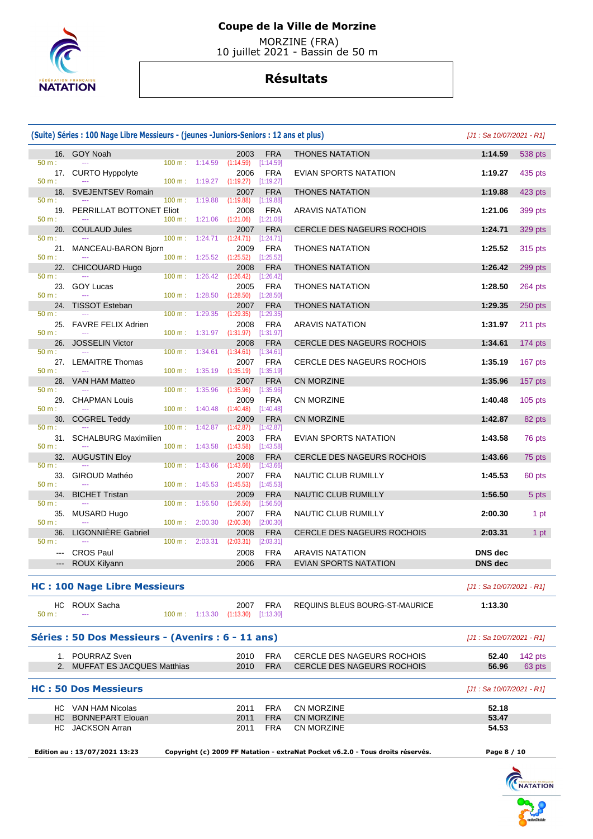

 MORZINE (FRA) 10 juillet 2021 - Bassin de 50 m

|                                                                                                                 | (Suite) Séries : 100 Nage Libre Messieurs - (jeunes -Juniors-Seniors : 12 ans et plus) |                          | $[J1: Sa 10/07/2021 - R1]$          |                                 |                                      |                                   |                            |           |
|-----------------------------------------------------------------------------------------------------------------|----------------------------------------------------------------------------------------|--------------------------|-------------------------------------|---------------------------------|--------------------------------------|-----------------------------------|----------------------------|-----------|
|                                                                                                                 | 16. GOY Noah                                                                           |                          |                                     | 2003                            | <b>FRA</b>                           | <b>THONES NATATION</b>            | 1:14.59                    | 538 pts   |
| 50 m:<br>17.<br>50 m:                                                                                           | <b>CURTO Hyppolyte</b>                                                                 | $100 \text{ m}: 1:14.59$ | 100 m: 1:19.27                      | (1:14.59)<br>2006<br>(1:19.27)  | [1:14.59]<br><b>FRA</b><br>[1:19.27] | EVIAN SPORTS NATATION             | 1:19.27                    | 435 pts   |
| 18.                                                                                                             | SVEJENTSEV Romain                                                                      |                          |                                     | 2007                            | <b>FRA</b>                           | <b>THONES NATATION</b>            | 1:19.88                    | 423 pts   |
| 50 m:<br>19.<br>50 m:                                                                                           | PERRILLAT BOTTONET Eliot                                                               | $100 \text{ m}$ :        | 1:19.88<br>$100 \text{ m}: 1:21.06$ | (1:19.88)<br>2008<br>(1:21.06)  | [1:19.88]<br><b>FRA</b><br>[1:21.06] | <b>ARAVIS NATATION</b>            | 1:21.06                    | 399 pts   |
| 20.                                                                                                             | <b>COULAUD Jules</b>                                                                   |                          |                                     | 2007                            | <b>FRA</b>                           | CERCLE DES NAGEURS ROCHOIS        | 1:24.71                    | 329 pts   |
| 50 m:<br>21.<br>50 m:                                                                                           | MANCEAU-BARON Bjorn                                                                    |                          | 100 m: 1:24.71<br>$100 m$ : 1:25.52 | (1:24.71)<br>2009<br>(1:25.52)  | [1:24.71]<br><b>FRA</b><br>[1:25.52] | <b>THONES NATATION</b>            | 1:25.52                    | 315 pts   |
| 22.                                                                                                             | <b>CHICOUARD Hugo</b>                                                                  |                          |                                     | 2008                            | <b>FRA</b>                           | <b>THONES NATATION</b>            | 1:26.42                    | 299 pts   |
| 50 m:<br>23.                                                                                                    | <b>GOY Lucas</b>                                                                       | $100 \text{ m}$ :        | 1:26.42                             | (1:26.42)<br>2005               | [1:26.42]<br><b>FRA</b>              | <b>THONES NATATION</b>            | 1:28.50                    | $264$ pts |
| 50 m:<br>24.                                                                                                    | <b>TISSOT Esteban</b>                                                                  |                          | 100 m: 1:28.50                      | (1:28.50)<br>2007               | [1:28.50]<br><b>FRA</b>              | <b>THONES NATATION</b>            | 1:29.35                    | 250 pts   |
| 50 m:<br>25.                                                                                                    | <b>FAVRE FELIX Adrien</b>                                                              | $100 \text{ m}$ :        | 1:29.35                             | (1:29.35)<br>2008               | [1:29.35]<br><b>FRA</b>              | <b>ARAVIS NATATION</b>            | 1:31.97                    | 211 pts   |
| 50 m:<br>26.                                                                                                    | <b>JOSSELIN Victor</b>                                                                 |                          | 100 m: 1:31.97                      | (1:31.97)<br>2008               | [1:31.97]<br><b>FRA</b>              | <b>CERCLE DES NAGEURS ROCHOIS</b> | 1:34.61                    | 174 pts   |
| 50 m:                                                                                                           | 27. LEMAITRE Thomas                                                                    | $100 m$ : 1:34.61        |                                     | (1:34.61)<br>2007               | [1:34.61]<br><b>FRA</b>              | CERCLE DES NAGEURS ROCHOIS        | 1:35.19                    | 167 pts   |
| 50 m:<br>28.                                                                                                    | VAN HAM Matteo                                                                         |                          | 100 m: 1:35.19                      | (1:35.19)<br>2007               | [1:35.19]<br><b>FRA</b>              | <b>CN MORZINE</b>                 | 1:35.96                    | 157 pts   |
| $50 m$ :<br>29.                                                                                                 | <b>CHAPMAN Louis</b>                                                                   | 100 m:                   | 1:35.96                             | (1:35.96)<br>2009               | [1:35.96]<br><b>FRA</b>              | <b>CN MORZINE</b>                 | 1:40.48                    | $105$ pts |
| 50 m:                                                                                                           |                                                                                        | 100 m:                   | 1:40.48                             | (1:40.48)                       | [1:40.48]                            |                                   |                            |           |
| 30.<br>50 m:                                                                                                    | <b>COGREL Teddy</b>                                                                    | $100 \text{ m}$ :        | 1:42.87                             | 2009<br>(1:42.87)               | <b>FRA</b><br>[1:42.87]              | CN MORZINE                        | 1:42.87                    | 82 pts    |
| 31.<br>50 m:                                                                                                    | <b>SCHALBURG Maximilien</b>                                                            |                          | $100 \text{ m}: 1:43.58$            | 2003<br>(1:43.58)               | <b>FRA</b><br>[1:43.58]              | <b>EVIAN SPORTS NATATION</b>      | 1:43.58                    | 76 pts    |
| 32.<br>50 m:                                                                                                    | <b>AUGUSTIN Eloy</b>                                                                   | 100 m:                   | 1:43.66                             | 2008<br>(1:43.66)               | <b>FRA</b><br>[1:43.66]              | CERCLE DES NAGEURS ROCHOIS        | 1:43.66                    | 75 pts    |
| 33.<br>50 m:                                                                                                    | GIROUD Mathéo                                                                          |                          | $100 \text{ m}: 1:45.53$            | 2007<br>(1:45.53)               | <b>FRA</b><br>[1:45.53]              | NAUTIC CLUB RUMILLY               | 1:45.53                    | 60 pts    |
| 34.<br>50 m:                                                                                                    | <b>BICHET Tristan</b>                                                                  | 100 m:                   | 1:56.50                             | 2009<br>(1:56.50)               | <b>FRA</b><br>[1:56.50]              | NAUTIC CLUB RUMILLY               | 1:56.50                    | 5 pts     |
| 35.<br>50 m:                                                                                                    | MUSARD Hugo                                                                            | $100 \text{ m}$ :        | 2:00.30                             | 2007<br>(2:00.30)               | <b>FRA</b><br>[2:00.30]              | NAUTIC CLUB RUMILLY               | 2:00.30                    | 1 pt      |
| 36.                                                                                                             | <b>LIGONNIERE Gabriel</b>                                                              |                          |                                     | 2008                            | <b>FRA</b>                           | CERCLE DES NAGEURS ROCHOIS        | 2:03.31                    | 1 pt      |
| 50 m:<br>$\qquad \qquad -$                                                                                      | <b>CROS Paul</b>                                                                       | 100 m:                   | 2:03.31                             | (2:03.31)<br>2008               | [2:03.31]<br><b>FRA</b>              | <b>ARAVIS NATATION</b>            | <b>DNS</b> dec             |           |
|                                                                                                                 | ROUX Kilyann                                                                           |                          |                                     | 2006                            | <b>FRA</b>                           | <b>EVIAN SPORTS NATATION</b>      | <b>DNS</b> dec             |           |
|                                                                                                                 | <b>HC: 100 Nage Libre Messieurs</b>                                                    |                          |                                     |                                 |                                      |                                   | $[J1: Sa 10/07/2021 - R1]$ |           |
| HC.<br>50 m:                                                                                                    | ROUX Sacha                                                                             |                          | 100 m: 1:13.30                      | 2007<br>$(1:13.30)$ $[1:13.30]$ | FRA                                  | REQUINS BLEUS BOURG-ST-MAURICE    | 1:13.30                    |           |
|                                                                                                                 | Séries : 50 Dos Messieurs - (Avenirs : 6 - 11 ans)                                     |                          |                                     |                                 |                                      |                                   | [J1 : Sa 10/07/2021 - R1]  |           |
|                                                                                                                 | 1. POURRAZ Sven                                                                        |                          |                                     | 2010                            | <b>FRA</b>                           | <b>CERCLE DES NAGEURS ROCHOIS</b> | 52.40                      | 142 pts   |
|                                                                                                                 | 2. MUFFAT ES JACQUES Matthias                                                          |                          |                                     | 2010                            | <b>FRA</b>                           | CERCLE DES NAGEURS ROCHOIS        | 56.96                      | 63 pts    |
|                                                                                                                 | <b>HC: 50 Dos Messieurs</b>                                                            |                          |                                     |                                 |                                      |                                   | [J1 : Sa 10/07/2021 - R1]  |           |
|                                                                                                                 | HC VAN HAM Nicolas                                                                     |                          |                                     | 2011                            | <b>FRA</b>                           | <b>CN MORZINE</b>                 | 52.18                      |           |
| HC                                                                                                              | <b>BONNEPART Elouan</b>                                                                |                          |                                     | 2011                            | <b>FRA</b>                           | <b>CN MORZINE</b>                 | 53.47                      |           |
|                                                                                                                 | HC JACKSON Arran                                                                       |                          |                                     | 2011                            | FRA                                  | CN MORZINE                        | 54.53                      |           |
| Edition au: 13/07/2021 13:23<br>Copyright (c) 2009 FF Natation - extraNat Pocket v6.2.0 - Tous droits réservés. |                                                                                        |                          |                                     |                                 |                                      | Page 8 / 10                       |                            |           |

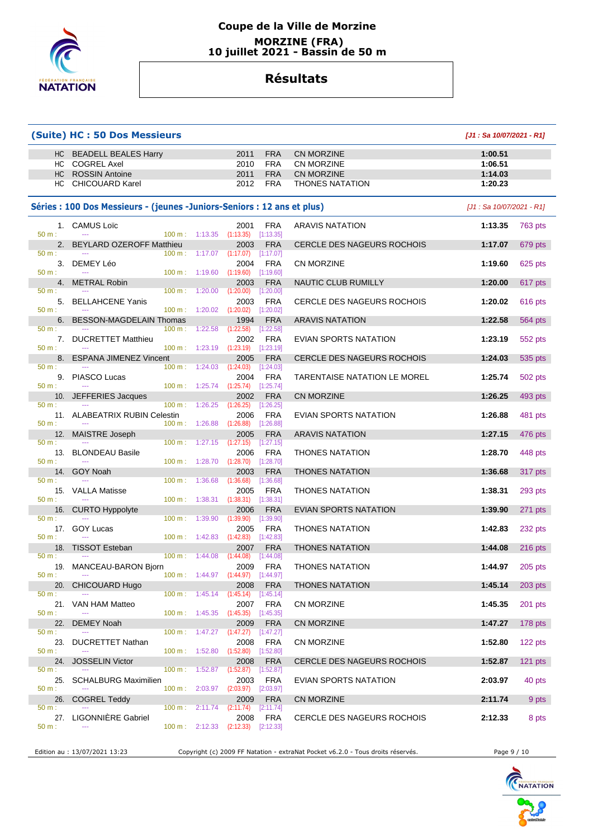

#### **Coupe de la Ville de Morzine MORZINE (FRA) 10 juillet 2021 - Bassin de 50 m**

## **Résultats**

#### **(Suite) HC : 50 Dos Messieurs [J1 : Sa 10/07/2021 - R1]** HC BEADELL BEALES Harry 2011 FRA CN MORZINE **1:00.51**  HC COGREL Axel 2010 FRA CN MORZINE **1:06.51**  HC ROSSIN Antoine 2011 FRA CN MORZINE **1:14.03**  HC CHICOUARD Karel 2012 FRA THONES NATATION **1:20.23 Séries : 100 Dos Messieurs - (jeunes -Juniors-Seniors : 12 ans et plus)** [J1 : Sa 10/07/2021 - R1] 1. CAMUS Loïc 2001 FRA ARAVIS NATATION **1:13.35** 763 pts 50 m : --- - -- - - - - - - - - - - - - 100 m : 1:13.35 (1:13.35) [1:13.35] 2. BEYLARD OZEROFF Matthieu 2003 FRA CERCLE DES NAGEURS ROCHOIS **1:17.07** 679 pts 50 m : --- -- -- - - - - - - - - - - - 100 m : 1:17.07 (1:17.07) [1:17.07] 3. DEMEY Léo 2004 FRA CN MORZINE **1:19.60** 625 pts 50 m : --- 100 m : 1:19.60 (1:19.60) [1:19.60] 4. METRAL Robin 2003 FRA NAUTIC CLUB RUMILLY **1:20.00** 617 pts 50 m : --- 100 m : 1:20.00 (1:20.00) [1:20.00] 5. BELLAHCENE Yanis 2003 FRA CERCLE DES NAGEURS ROCHOIS **1:20.02** 616 pts 50 m : --- 100 m : 1:20.02 (1:20.02) [1:20.02] 6. BESSON-MAGDELAIN Thomas 1994 FRA ARAVIS NATATION **1:22.58** 564 pts 50 m : --- 100 m : 1:22.58 (1:22.58) [1:22.58] 7. DUCRETTET Matthieu 2002 FRA EVIAN SPORTS NATATION **1:23.19** 552 pts 50 m : --- 100 m : 1:23.19 (1:23.19) [1:23.19] 8. ESPANA JIMENEZ Vincent 2005 FRA CERCLE DES NAGEURS ROCHOIS **1:24.03** 535 pts 50 m : --- 100 m : 1:24.03 (1:24.03) [1:24.03] 9. PIASCO Lucas 2004 FRA TARENTAISE NATATION LE MOREL **1:25.74** 502 pts 50 m : --- 100 m : 1:25.74 (1:25.74) 10. JEFFERIES Jacques 2002 FRA CN MORZINE **1:26.25** 493 pts 50 m : --- 100 m : 1:26.25 (1:26.25) [1:26.25] 11. ALABEATRIX RUBIN Celestin 2006 FRA EVIAN SPORTS NATATION **1:26.88** 481 pts 50 m : --- 100 m : 1:26.88 (1:26.88) [1:26.88] 12. MAISTRE Joseph 2005 FRA ARAVIS NATATION **1:27.15** 476 pts 50 m : --- 100 m : 1:27.15 (1:27.15) [1:27.15] 13. BLONDEAU Basile 2006 FRA THONES NATATION **1:28.70** 448 pts 50 m : --- 100 m : 1:28.70 (1:28.70) [1:28.70] 14. GOY Noah 2003 FRA THONES NATATION **1:36.68** 317 pts 50 m : --- 100 m : 1:36.68 (1:36.68) [1:36.68] 15. VALLA Matisse 2005 FRA THONES NATATION **1:38.31** 293 pts 50 m : --- - -- - - - - - - - - - - - 100 m : 1:38.31 (1:38.31) [1:38.31] 16. CURTO Hyppolyte 2006 FRA EVIAN SPORTS NATATION **1:39.90** 271 pts 50 m : --- 100 m : 1:39.90 (1:39.90) [1:39.90] 17. GOY Lucas 2005 FRA THONES NATATION **1:42.83** 232 pts 50 m : --- 100 m : 1:42.83 (1:42.83) [1:42.83] 18. TISSOT Esteban 2007 FRA THONES NATATION **1:44.08** 216 pts 50 m : --- 100 m : 1:44.08 (1:44.08) [1:44.08] 19. MANCEAU-BARON Bjorn 2009 FRA THONES NATATION **1:44.97** 205 pts<br>  $\frac{50 \text{ m}}{20 \text{ m}}$   $\frac{100 \text{ m}}{100 \text{ m}}$   $\frac{1:44.97}{44.497}$   $\frac{1:44.97}{44.497}$ 50 m : --- 100 m : 1:44.97 (1:44.97) [1:44.97] 20. CHICOUARD Hugo 2008 FRA THONES NATATION **1:45.14** 203 pts 50 m : --- - -- - - - - - - - - - - - - 100 m : 1:45.14 (1:45.14) [1:45.14] 21. VAN HAM Matteo 2007 FRA CN MORZINE **1:45.35** 201 pts 50 m : --- - -- - - - - - - - - - - - 100 m : 1:45.35 (1:45.35) [1:45.35] 22. DEMEY Noah 2009 FRA CN MORZINE **1:47.27** 178 pts 50 m : --- 100 m : 1:47.27 (1:47.27) [1:47.27] 23. DUCRETTET Nathan 2008 FRA CN MORZINE **1:52.80** 122 pts 50 m : --- - -- - - - - - - - - - - - 100 m : 1:52.80 (1:52.80) [1:52.80] 24. JOSSELIN Victor 2008 FRA CERCLE DES NAGEURS ROCHOIS **1:52.87** 121 pts 50 m : --- 100 m : 1:52.87 (1:52.87) [1:52.87] 25. SCHALBURG Maximilien 2003 FRA EVIAN SPORTS NATATION **2:03.97** 40 pts 50 m : --- 100 m : 2:03.97 (2:03.97) [2:03.97] 26. COGREL Teddy 2009 FRA CN MORZINE **2:11.74** 9 pts 50 m : --- 100 m : 2:11.74 (2:11.74) [2:11.74] 27. LIGONNIÈRE Gabriel 2008 FRA CERCLE DES NAGEURS ROCHOIS **2:12.33** 8 pts

50 m : --- - -- - - - - - - - - - - - - 100 m : 2:12.33 (2:12.33) [2:12.33]

Edition au : 13/07/2021 13:23 Copyright (c) 2009 FF Natation - extraNat Pocket v6.2.0 - Tous droits réservés. Page 9 / 10